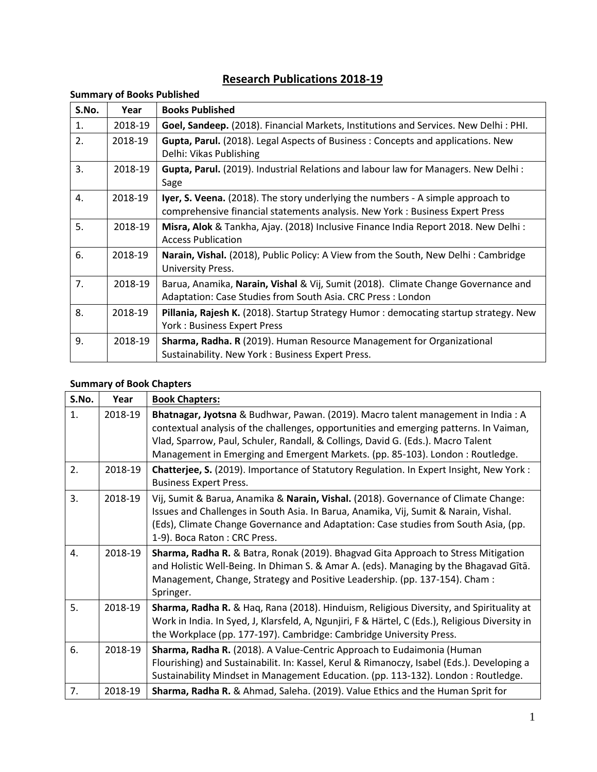# **Research Publications 2018-19**

| <b>Summary of Books Published</b> |         |                                                                                                                                                                        |
|-----------------------------------|---------|------------------------------------------------------------------------------------------------------------------------------------------------------------------------|
| S.No.                             | Year    | <b>Books Published</b>                                                                                                                                                 |
| $\mathbf{1}$ .                    | 2018-19 | Goel, Sandeep. (2018). Financial Markets, Institutions and Services. New Delhi: PHI.                                                                                   |
| 2.                                | 2018-19 | Gupta, Parul. (2018). Legal Aspects of Business: Concepts and applications. New<br>Delhi: Vikas Publishing                                                             |
| 3.                                | 2018-19 | Gupta, Parul. (2019). Industrial Relations and labour law for Managers. New Delhi:<br>Sage                                                                             |
| 4.                                | 2018-19 | <b>Iyer, S. Veena.</b> (2018). The story underlying the numbers - A simple approach to<br>comprehensive financial statements analysis. New York: Business Expert Press |
| 5.                                | 2018-19 | Misra, Alok & Tankha, Ajay. (2018) Inclusive Finance India Report 2018. New Delhi:<br><b>Access Publication</b>                                                        |
| 6.                                | 2018-19 | Narain, Vishal. (2018), Public Policy: A View from the South, New Delhi: Cambridge<br>University Press.                                                                |
| 7.                                | 2018-19 | Barua, Anamika, Narain, Vishal & Vij, Sumit (2018). Climate Change Governance and<br>Adaptation: Case Studies from South Asia. CRC Press: London                       |
| 8.                                | 2018-19 | Pillania, Rajesh K. (2018). Startup Strategy Humor: democating startup strategy. New<br>York: Business Expert Press                                                    |
| 9.                                | 2018-19 | Sharma, Radha. R (2019). Human Resource Management for Organizational<br>Sustainability. New York: Business Expert Press.                                              |

## **Summary of Book Chapters**

| S.No. | Year    | <b>Book Chapters:</b>                                                                                                                                                                                                                                                                                                                           |
|-------|---------|-------------------------------------------------------------------------------------------------------------------------------------------------------------------------------------------------------------------------------------------------------------------------------------------------------------------------------------------------|
| 1.    | 2018-19 | Bhatnagar, Jyotsna & Budhwar, Pawan. (2019). Macro talent management in India: A<br>contextual analysis of the challenges, opportunities and emerging patterns. In Vaiman,<br>Vlad, Sparrow, Paul, Schuler, Randall, & Collings, David G. (Eds.). Macro Talent<br>Management in Emerging and Emergent Markets. (pp. 85-103). London: Routledge. |
| 2.    | 2018-19 | Chatterjee, S. (2019). Importance of Statutory Regulation. In Expert Insight, New York :<br><b>Business Expert Press.</b>                                                                                                                                                                                                                       |
| 3.    | 2018-19 | Vij, Sumit & Barua, Anamika & Narain, Vishal. (2018). Governance of Climate Change:<br>Issues and Challenges in South Asia. In Barua, Anamika, Vij, Sumit & Narain, Vishal.<br>(Eds), Climate Change Governance and Adaptation: Case studies from South Asia, (pp.<br>1-9). Boca Raton: CRC Press.                                              |
| 4.    | 2018-19 | Sharma, Radha R. & Batra, Ronak (2019). Bhagyad Gita Approach to Stress Mitigation<br>and Holistic Well-Being. In Dhiman S. & Amar A. (eds). Managing by the Bhagavad Gītā.<br>Management, Change, Strategy and Positive Leadership. (pp. 137-154). Cham :<br>Springer.                                                                         |
| 5.    | 2018-19 | Sharma, Radha R. & Haq, Rana (2018). Hinduism, Religious Diversity, and Spirituality at<br>Work in India. In Syed, J, Klarsfeld, A, Ngunjiri, F & Härtel, C (Eds.), Religious Diversity in<br>the Workplace (pp. 177-197). Cambridge: Cambridge University Press.                                                                               |
| 6.    | 2018-19 | Sharma, Radha R. (2018). A Value-Centric Approach to Eudaimonia (Human<br>Flourishing) and Sustainabilit. In: Kassel, Kerul & Rimanoczy, Isabel (Eds.). Developing a<br>Sustainability Mindset in Management Education. (pp. 113-132). London: Routledge.                                                                                       |
| 7.    | 2018-19 | Sharma, Radha R. & Ahmad, Saleha. (2019). Value Ethics and the Human Sprit for                                                                                                                                                                                                                                                                  |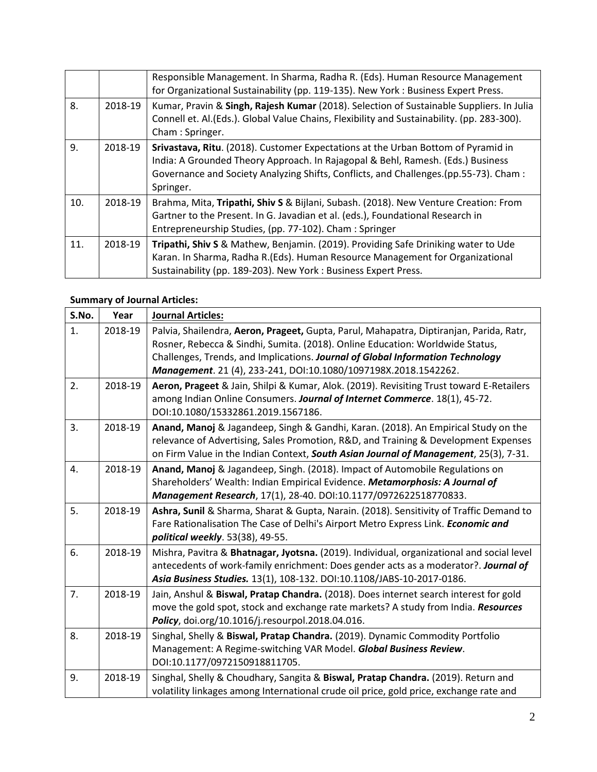|     |         | Responsible Management. In Sharma, Radha R. (Eds). Human Resource Management<br>for Organizational Sustainability (pp. 119-135). New York: Business Expert Press.                                                                                                          |
|-----|---------|----------------------------------------------------------------------------------------------------------------------------------------------------------------------------------------------------------------------------------------------------------------------------|
| 8.  | 2018-19 | Kumar, Pravin & Singh, Rajesh Kumar (2018). Selection of Sustainable Suppliers. In Julia<br>Connell et. Al. (Eds.). Global Value Chains, Flexibility and Sustainability. (pp. 283-300).<br>Cham: Springer.                                                                 |
| 9.  | 2018-19 | Srivastava, Ritu. (2018). Customer Expectations at the Urban Bottom of Pyramid in<br>India: A Grounded Theory Approach. In Rajagopal & Behl, Ramesh. (Eds.) Business<br>Governance and Society Analyzing Shifts, Conflicts, and Challenges.(pp.55-73). Cham :<br>Springer. |
| 10. | 2018-19 | Brahma, Mita, Tripathi, Shiv S & Bijlani, Subash. (2018). New Venture Creation: From<br>Gartner to the Present. In G. Javadian et al. (eds.), Foundational Research in<br>Entrepreneurship Studies, (pp. 77-102). Cham: Springer                                           |
| 11. | 2018-19 | Tripathi, Shiv S & Mathew, Benjamin. (2019). Providing Safe Driniking water to Ude<br>Karan. In Sharma, Radha R.(Eds). Human Resource Management for Organizational<br>Sustainability (pp. 189-203). New York: Business Expert Press.                                      |

#### **Summary of Journal Articles:**

| S.No. | Year    | <b>Journal Articles:</b>                                                                                                                                                                                                                                                                                                      |
|-------|---------|-------------------------------------------------------------------------------------------------------------------------------------------------------------------------------------------------------------------------------------------------------------------------------------------------------------------------------|
| 1.    | 2018-19 | Palvia, Shailendra, Aeron, Prageet, Gupta, Parul, Mahapatra, Diptiranjan, Parida, Ratr,<br>Rosner, Rebecca & Sindhi, Sumita. (2018). Online Education: Worldwide Status,<br>Challenges, Trends, and Implications. Journal of Global Information Technology<br>Management. 21 (4), 233-241, DOI:10.1080/1097198X.2018.1542262. |
| 2.    | 2018-19 | Aeron, Prageet & Jain, Shilpi & Kumar, Alok. (2019). Revisiting Trust toward E-Retailers<br>among Indian Online Consumers. Journal of Internet Commerce. 18(1), 45-72.<br>DOI:10.1080/15332861.2019.1567186.                                                                                                                  |
| 3.    | 2018-19 | Anand, Manoj & Jagandeep, Singh & Gandhi, Karan. (2018). An Empirical Study on the<br>relevance of Advertising, Sales Promotion, R&D, and Training & Development Expenses<br>on Firm Value in the Indian Context, South Asian Journal of Management, 25(3), 7-31.                                                             |
| 4.    | 2018-19 | Anand, Manoj & Jagandeep, Singh. (2018). Impact of Automobile Regulations on<br>Shareholders' Wealth: Indian Empirical Evidence. Metamorphosis: A Journal of<br>Management Research, 17(1), 28-40. DOI:10.1177/0972622518770833.                                                                                              |
| 5.    | 2018-19 | Ashra, Sunil & Sharma, Sharat & Gupta, Narain. (2018). Sensitivity of Traffic Demand to<br>Fare Rationalisation The Case of Delhi's Airport Metro Express Link. Economic and<br>political weekly. 53(38), 49-55.                                                                                                              |
| 6.    | 2018-19 | Mishra, Pavitra & Bhatnagar, Jyotsna. (2019). Individual, organizational and social level<br>antecedents of work-family enrichment: Does gender acts as a moderator?. Journal of<br>Asia Business Studies. 13(1), 108-132. DOI:10.1108/JABS-10-2017-0186.                                                                     |
| 7.    | 2018-19 | Jain, Anshul & Biswal, Pratap Chandra. (2018). Does internet search interest for gold<br>move the gold spot, stock and exchange rate markets? A study from India. Resources<br>Policy, doi.org/10.1016/j.resourpol.2018.04.016.                                                                                               |
| 8.    | 2018-19 | Singhal, Shelly & Biswal, Pratap Chandra. (2019). Dynamic Commodity Portfolio<br>Management: A Regime-switching VAR Model. Global Business Review.<br>DOI:10.1177/0972150918811705.                                                                                                                                           |
| 9.    | 2018-19 | Singhal, Shelly & Choudhary, Sangita & Biswal, Pratap Chandra. (2019). Return and<br>volatility linkages among International crude oil price, gold price, exchange rate and                                                                                                                                                   |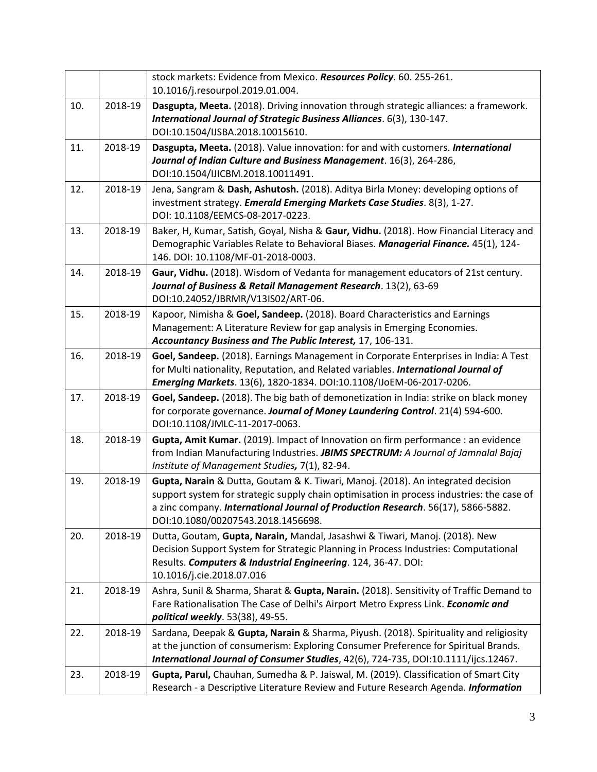|     |         | stock markets: Evidence from Mexico. Resources Policy. 60. 255-261.<br>10.1016/j.resourpol.2019.01.004.                                                                                                                                                                                                 |
|-----|---------|---------------------------------------------------------------------------------------------------------------------------------------------------------------------------------------------------------------------------------------------------------------------------------------------------------|
| 10. | 2018-19 | Dasgupta, Meeta. (2018). Driving innovation through strategic alliances: a framework.<br>International Journal of Strategic Business Alliances. 6(3), 130-147.<br>DOI:10.1504/IJSBA.2018.10015610.                                                                                                      |
| 11. | 2018-19 | Dasgupta, Meeta. (2018). Value innovation: for and with customers. International<br>Journal of Indian Culture and Business Management. 16(3), 264-286,<br>DOI:10.1504/IJICBM.2018.10011491.                                                                                                             |
| 12. | 2018-19 | Jena, Sangram & Dash, Ashutosh. (2018). Aditya Birla Money: developing options of<br>investment strategy. Emerald Emerging Markets Case Studies. 8(3), 1-27.<br>DOI: 10.1108/EEMCS-08-2017-0223.                                                                                                        |
| 13. | 2018-19 | Baker, H, Kumar, Satish, Goyal, Nisha & Gaur, Vidhu. (2018). How Financial Literacy and<br>Demographic Variables Relate to Behavioral Biases. Managerial Finance. 45(1), 124-<br>146. DOI: 10.1108/MF-01-2018-0003.                                                                                     |
| 14. | 2018-19 | Gaur, Vidhu. (2018). Wisdom of Vedanta for management educators of 21st century.<br>Journal of Business & Retail Management Research. 13(2), 63-69<br>DOI:10.24052/JBRMR/V13IS02/ART-06.                                                                                                                |
| 15. | 2018-19 | Kapoor, Nimisha & Goel, Sandeep. (2018). Board Characteristics and Earnings<br>Management: A Literature Review for gap analysis in Emerging Economies.<br>Accountancy Business and The Public Interest, 17, 106-131.                                                                                    |
| 16. | 2018-19 | Goel, Sandeep. (2018). Earnings Management in Corporate Enterprises in India: A Test<br>for Multi nationality, Reputation, and Related variables. International Journal of<br>Emerging Markets. 13(6), 1820-1834. DOI:10.1108/IJoEM-06-2017-0206.                                                       |
| 17. | 2018-19 | Goel, Sandeep. (2018). The big bath of demonetization in India: strike on black money<br>for corporate governance. Journal of Money Laundering Control. 21(4) 594-600.<br>DOI:10.1108/JMLC-11-2017-0063.                                                                                                |
| 18. | 2018-19 | Gupta, Amit Kumar. (2019). Impact of Innovation on firm performance : an evidence<br>from Indian Manufacturing Industries. JBIMS SPECTRUM: A Journal of Jamnalal Bajaj<br>Institute of Management Studies, 7(1), 82-94.                                                                                 |
| 19. | 2018-19 | Gupta, Narain & Dutta, Goutam & K. Tiwari, Manoj. (2018). An integrated decision<br>support system for strategic supply chain optimisation in process industries: the case of<br>a zinc company. International Journal of Production Research. 56(17), 5866-5882.<br>DOI:10.1080/00207543.2018.1456698. |
| 20. | 2018-19 | Dutta, Goutam, Gupta, Narain, Mandal, Jasashwi & Tiwari, Manoj. (2018). New<br>Decision Support System for Strategic Planning in Process Industries: Computational<br>Results. Computers & Industrial Engineering. 124, 36-47. DOI:<br>10.1016/j.cie.2018.07.016                                        |
| 21. | 2018-19 | Ashra, Sunil & Sharma, Sharat & Gupta, Narain. (2018). Sensitivity of Traffic Demand to<br>Fare Rationalisation The Case of Delhi's Airport Metro Express Link. Economic and<br>political weekly. 53(38), 49-55.                                                                                        |
| 22. | 2018-19 | Sardana, Deepak & Gupta, Narain & Sharma, Piyush. (2018). Spirituality and religiosity<br>at the junction of consumerism: Exploring Consumer Preference for Spiritual Brands.<br>International Journal of Consumer Studies, 42(6), 724-735, DOI:10.1111/ijcs.12467.                                     |
| 23. | 2018-19 | Gupta, Parul, Chauhan, Sumedha & P. Jaiswal, M. (2019). Classification of Smart City<br>Research - a Descriptive Literature Review and Future Research Agenda. Information                                                                                                                              |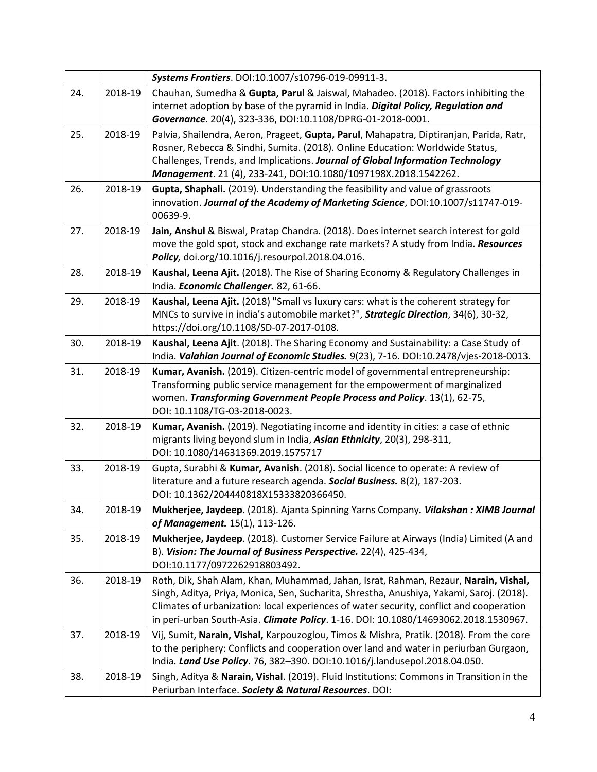|     |         | Systems Frontiers. DOI:10.1007/s10796-019-09911-3.                                                                                                                                                                                                                                                                                                                |
|-----|---------|-------------------------------------------------------------------------------------------------------------------------------------------------------------------------------------------------------------------------------------------------------------------------------------------------------------------------------------------------------------------|
| 24. | 2018-19 | Chauhan, Sumedha & Gupta, Parul & Jaiswal, Mahadeo. (2018). Factors inhibiting the<br>internet adoption by base of the pyramid in India. Digital Policy, Regulation and<br>Governance. 20(4), 323-336, DOI:10.1108/DPRG-01-2018-0001.                                                                                                                             |
| 25. | 2018-19 | Palvia, Shailendra, Aeron, Prageet, Gupta, Parul, Mahapatra, Diptiranjan, Parida, Ratr,<br>Rosner, Rebecca & Sindhi, Sumita. (2018). Online Education: Worldwide Status,<br>Challenges, Trends, and Implications. Journal of Global Information Technology<br>Management. 21 (4), 233-241, DOI:10.1080/1097198X.2018.1542262.                                     |
| 26. | 2018-19 | Gupta, Shaphali. (2019). Understanding the feasibility and value of grassroots<br>innovation. Journal of the Academy of Marketing Science, DOI:10.1007/s11747-019-<br>00639-9.                                                                                                                                                                                    |
| 27. | 2018-19 | Jain, Anshul & Biswal, Pratap Chandra. (2018). Does internet search interest for gold<br>move the gold spot, stock and exchange rate markets? A study from India. Resources<br>Policy, doi.org/10.1016/j.resourpol.2018.04.016.                                                                                                                                   |
| 28. | 2018-19 | Kaushal, Leena Ajit. (2018). The Rise of Sharing Economy & Regulatory Challenges in<br>India. Economic Challenger. 82, 61-66.                                                                                                                                                                                                                                     |
| 29. | 2018-19 | Kaushal, Leena Ajit. (2018) "Small vs luxury cars: what is the coherent strategy for<br>MNCs to survive in india's automobile market?", Strategic Direction, 34(6), 30-32,<br>https://doi.org/10.1108/SD-07-2017-0108.                                                                                                                                            |
| 30. | 2018-19 | Kaushal, Leena Ajit. (2018). The Sharing Economy and Sustainability: a Case Study of<br>India. Valahian Journal of Economic Studies. 9(23), 7-16. DOI:10.2478/vjes-2018-0013.                                                                                                                                                                                     |
| 31. | 2018-19 | Kumar, Avanish. (2019). Citizen-centric model of governmental entrepreneurship:<br>Transforming public service management for the empowerment of marginalized<br>women. Transforming Government People Process and Policy. 13(1), 62-75,<br>DOI: 10.1108/TG-03-2018-0023.                                                                                         |
| 32. | 2018-19 | Kumar, Avanish. (2019). Negotiating income and identity in cities: a case of ethnic<br>migrants living beyond slum in India, Asian Ethnicity, 20(3), 298-311,<br>DOI: 10.1080/14631369.2019.1575717                                                                                                                                                               |
| 33. | 2018-19 | Gupta, Surabhi & Kumar, Avanish. (2018). Social licence to operate: A review of<br>literature and a future research agenda. Social Business. 8(2), 187-203.<br>DOI: 10.1362/204440818X15333820366450.                                                                                                                                                             |
| 34. | 2018-19 | Mukherjee, Jaydeep. (2018). Ajanta Spinning Yarns Company. Vilakshan: XIMB Journal<br>of Management. 15(1), 113-126.                                                                                                                                                                                                                                              |
| 35. | 2018-19 | Mukherjee, Jaydeep. (2018). Customer Service Failure at Airways (India) Limited (A and<br>B). Vision: The Journal of Business Perspective. 22(4), 425-434,<br>DOI:10.1177/0972262918803492.                                                                                                                                                                       |
| 36. | 2018-19 | Roth, Dik, Shah Alam, Khan, Muhammad, Jahan, Israt, Rahman, Rezaur, Narain, Vishal,<br>Singh, Aditya, Priya, Monica, Sen, Sucharita, Shrestha, Anushiya, Yakami, Saroj. (2018).<br>Climates of urbanization: local experiences of water security, conflict and cooperation<br>in peri-urban South-Asia. Climate Policy. 1-16. DOI: 10.1080/14693062.2018.1530967. |
| 37. | 2018-19 | Vij, Sumit, Narain, Vishal, Karpouzoglou, Timos & Mishra, Pratik. (2018). From the core<br>to the periphery: Conflicts and cooperation over land and water in periurban Gurgaon,<br>India. Land Use Policy. 76, 382-390. DOI:10.1016/j.landusepol.2018.04.050.                                                                                                    |
| 38. | 2018-19 | Singh, Aditya & Narain, Vishal. (2019). Fluid Institutions: Commons in Transition in the<br>Periurban Interface. Society & Natural Resources. DOI:                                                                                                                                                                                                                |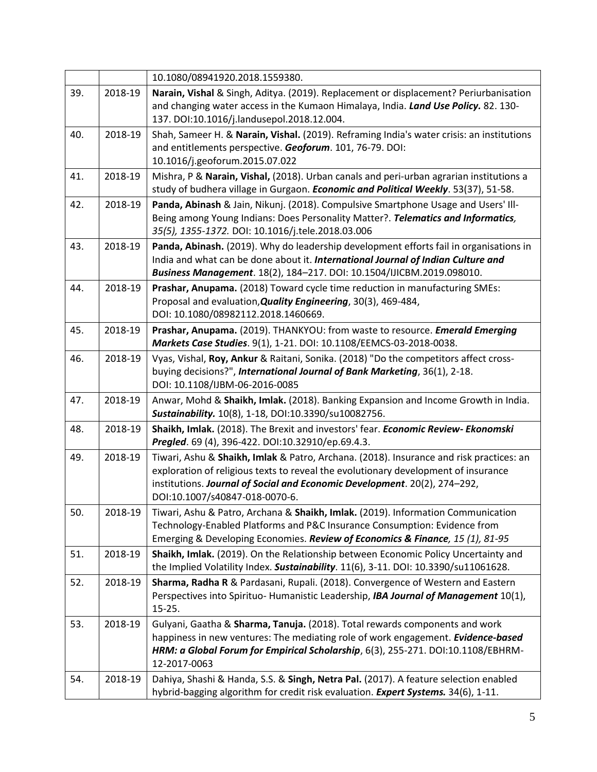|     |         | 10.1080/08941920.2018.1559380.                                                                                                                                                                                                                                                               |
|-----|---------|----------------------------------------------------------------------------------------------------------------------------------------------------------------------------------------------------------------------------------------------------------------------------------------------|
| 39. | 2018-19 | Narain, Vishal & Singh, Aditya. (2019). Replacement or displacement? Periurbanisation<br>and changing water access in the Kumaon Himalaya, India. Land Use Policy. 82. 130-<br>137. DOI:10.1016/j.landusepol.2018.12.004.                                                                    |
| 40. | 2018-19 | Shah, Sameer H. & Narain, Vishal. (2019). Reframing India's water crisis: an institutions<br>and entitlements perspective. Geoforum. 101, 76-79. DOI:<br>10.1016/j.geoforum.2015.07.022                                                                                                      |
| 41. | 2018-19 | Mishra, P & Narain, Vishal, (2018). Urban canals and peri-urban agrarian institutions a<br>study of budhera village in Gurgaon. Economic and Political Weekly. 53(37), 51-58.                                                                                                                |
| 42. | 2018-19 | Panda, Abinash & Jain, Nikunj. (2018). Compulsive Smartphone Usage and Users' Ill-<br>Being among Young Indians: Does Personality Matter?. Telematics and Informatics,<br>35(5), 1355-1372. DOI: 10.1016/j.tele.2018.03.006                                                                  |
| 43. | 2018-19 | Panda, Abinash. (2019). Why do leadership development efforts fail in organisations in<br>India and what can be done about it. International Journal of Indian Culture and<br>Business Management. 18(2), 184-217. DOI: 10.1504/IJICBM.2019.098010.                                          |
| 44. | 2018-19 | Prashar, Anupama. (2018) Toward cycle time reduction in manufacturing SMEs:<br>Proposal and evaluation, Quality Engineering, 30(3), 469-484,<br>DOI: 10.1080/08982112.2018.1460669.                                                                                                          |
| 45. | 2018-19 | Prashar, Anupama. (2019). THANKYOU: from waste to resource. Emerald Emerging<br>Markets Case Studies. 9(1), 1-21. DOI: 10.1108/EEMCS-03-2018-0038.                                                                                                                                           |
| 46. | 2018-19 | Vyas, Vishal, Roy, Ankur & Raitani, Sonika. (2018) "Do the competitors affect cross-<br>buying decisions?", International Journal of Bank Marketing, 36(1), 2-18.<br>DOI: 10.1108/IJBM-06-2016-0085                                                                                          |
| 47. | 2018-19 | Anwar, Mohd & Shaikh, Imlak. (2018). Banking Expansion and Income Growth in India.<br>Sustainability. 10(8), 1-18, DOI:10.3390/su10082756.                                                                                                                                                   |
| 48. | 2018-19 | Shaikh, Imlak. (2018). The Brexit and investors' fear. Economic Review- Ekonomski<br>Pregled. 69 (4), 396-422. DOI:10.32910/ep.69.4.3.                                                                                                                                                       |
| 49. | 2018-19 | Tiwari, Ashu & Shaikh, Imlak & Patro, Archana. (2018). Insurance and risk practices: an<br>exploration of religious texts to reveal the evolutionary development of insurance<br>institutions. Journal of Social and Economic Development. 20(2), 274-292,<br>DOI:10.1007/s40847-018-0070-6. |
| 50. | 2018-19 | Tiwari, Ashu & Patro, Archana & Shaikh, Imlak. (2019). Information Communication<br>Technology-Enabled Platforms and P&C Insurance Consumption: Evidence from<br>Emerging & Developing Economies. Review of Economics & Finance, 15 (1), 81-95                                               |
| 51. | 2018-19 | Shaikh, Imlak. (2019). On the Relationship between Economic Policy Uncertainty and<br>the Implied Volatility Index. Sustainability. 11(6), 3-11. DOI: 10.3390/su11061628.                                                                                                                    |
| 52. | 2018-19 | Sharma, Radha R & Pardasani, Rupali. (2018). Convergence of Western and Eastern<br>Perspectives into Spirituo- Humanistic Leadership, IBA Journal of Management 10(1),<br>$15-25.$                                                                                                           |
| 53. | 2018-19 | Gulyani, Gaatha & Sharma, Tanuja. (2018). Total rewards components and work<br>happiness in new ventures: The mediating role of work engagement. Evidence-based<br>HRM: a Global Forum for Empirical Scholarship, 6(3), 255-271. DOI:10.1108/EBHRM-<br>12-2017-0063                          |
| 54. | 2018-19 | Dahiya, Shashi & Handa, S.S. & Singh, Netra Pal. (2017). A feature selection enabled<br>hybrid-bagging algorithm for credit risk evaluation. Expert Systems. 34(6), 1-11.                                                                                                                    |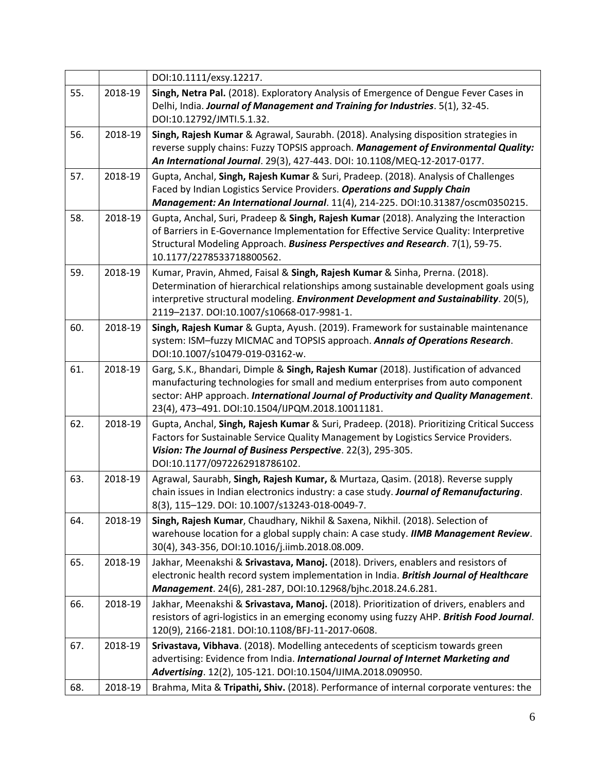|     |         | DOI:10.1111/exsy.12217.                                                                                                                                                                                                                                                                                            |
|-----|---------|--------------------------------------------------------------------------------------------------------------------------------------------------------------------------------------------------------------------------------------------------------------------------------------------------------------------|
| 55. | 2018-19 | Singh, Netra Pal. (2018). Exploratory Analysis of Emergence of Dengue Fever Cases in<br>Delhi, India. Journal of Management and Training for Industries. 5(1), 32-45.<br>DOI:10.12792/JMTI.5.1.32.                                                                                                                 |
| 56. | 2018-19 | Singh, Rajesh Kumar & Agrawal, Saurabh. (2018). Analysing disposition strategies in<br>reverse supply chains: Fuzzy TOPSIS approach. Management of Environmental Quality:<br>An International Journal. 29(3), 427-443. DOI: 10.1108/MEQ-12-2017-0177.                                                              |
| 57. | 2018-19 | Gupta, Anchal, Singh, Rajesh Kumar & Suri, Pradeep. (2018). Analysis of Challenges<br>Faced by Indian Logistics Service Providers. Operations and Supply Chain<br>Management: An International Journal. 11(4), 214-225. DOI:10.31387/oscm0350215.                                                                  |
| 58. | 2018-19 | Gupta, Anchal, Suri, Pradeep & Singh, Rajesh Kumar (2018). Analyzing the Interaction<br>of Barriers in E-Governance Implementation for Effective Service Quality: Interpretive<br>Structural Modeling Approach. Business Perspectives and Research. 7(1), 59-75.<br>10.1177/2278533718800562.                      |
| 59. | 2018-19 | Kumar, Pravin, Ahmed, Faisal & Singh, Rajesh Kumar & Sinha, Prerna. (2018).<br>Determination of hierarchical relationships among sustainable development goals using<br>interpretive structural modeling. Environment Development and Sustainability. 20(5),<br>2119-2137. DOI:10.1007/s10668-017-9981-1.          |
| 60. | 2018-19 | Singh, Rajesh Kumar & Gupta, Ayush. (2019). Framework for sustainable maintenance<br>system: ISM-fuzzy MICMAC and TOPSIS approach. Annals of Operations Research.<br>DOI:10.1007/s10479-019-03162-w.                                                                                                               |
| 61. | 2018-19 | Garg, S.K., Bhandari, Dimple & Singh, Rajesh Kumar (2018). Justification of advanced<br>manufacturing technologies for small and medium enterprises from auto component<br>sector: AHP approach. International Journal of Productivity and Quality Management.<br>23(4), 473-491. DOI:10.1504/IJPQM.2018.10011181. |
| 62. | 2018-19 | Gupta, Anchal, Singh, Rajesh Kumar & Suri, Pradeep. (2018). Prioritizing Critical Success<br>Factors for Sustainable Service Quality Management by Logistics Service Providers.<br>Vision: The Journal of Business Perspective. 22(3), 295-305.<br>DOI:10.1177/0972262918786102.                                   |
| 63. | 2018-19 | Agrawal, Saurabh, Singh, Rajesh Kumar, & Murtaza, Qasim. (2018). Reverse supply<br>chain issues in Indian electronics industry: a case study. Journal of Remanufacturing.<br>8(3), 115-129. DOI: 10.1007/s13243-018-0049-7.                                                                                        |
| 64. | 2018-19 | Singh, Rajesh Kumar, Chaudhary, Nikhil & Saxena, Nikhil. (2018). Selection of<br>warehouse location for a global supply chain: A case study. IIMB Management Review.<br>30(4), 343-356, DOI:10.1016/j.iimb.2018.08.009.                                                                                            |
| 65. | 2018-19 | Jakhar, Meenakshi & Srivastava, Manoj. (2018). Drivers, enablers and resistors of<br>electronic health record system implementation in India. British Journal of Healthcare<br>Management. 24(6), 281-287, DOI:10.12968/bjhc.2018.24.6.281.                                                                        |
| 66. | 2018-19 | Jakhar, Meenakshi & Srivastava, Manoj. (2018). Prioritization of drivers, enablers and<br>resistors of agri-logistics in an emerging economy using fuzzy AHP. British Food Journal.<br>120(9), 2166-2181. DOI:10.1108/BFJ-11-2017-0608.                                                                            |
| 67. | 2018-19 | Srivastava, Vibhava. (2018). Modelling antecedents of scepticism towards green<br>advertising: Evidence from India. International Journal of Internet Marketing and<br>Advertising. 12(2), 105-121. DOI:10.1504/IJIMA.2018.090950.                                                                                 |
| 68. | 2018-19 | Brahma, Mita & Tripathi, Shiv. (2018). Performance of internal corporate ventures: the                                                                                                                                                                                                                             |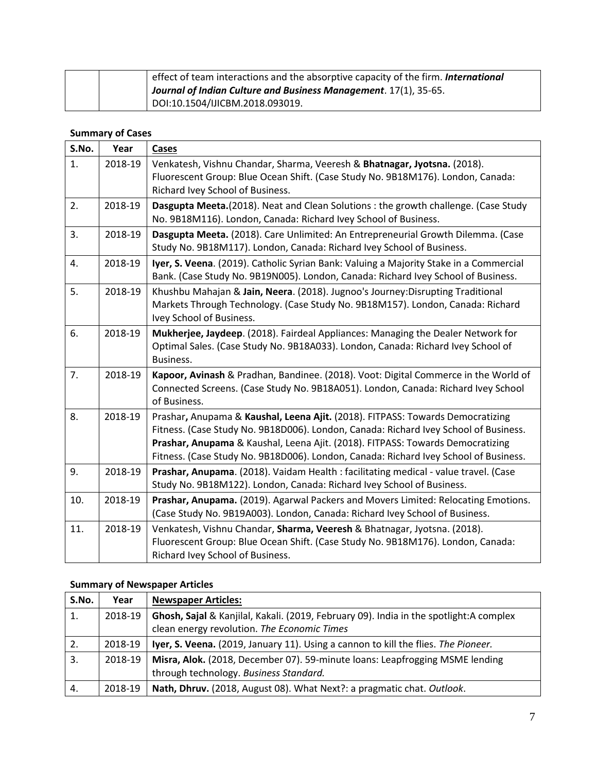|  | effect of team interactions and the absorptive capacity of the firm. <b>International</b> |
|--|-------------------------------------------------------------------------------------------|
|  | <b>Journal of Indian Culture and Business Management.</b> $17(1)$ , 35-65.                |
|  | DOI:10.1504/IJICBM.2018.093019.                                                           |

### **Summary of Cases**

| S.No. | Year    | <b>Cases</b>                                                                                                                                                                                                                                                                                                                                     |
|-------|---------|--------------------------------------------------------------------------------------------------------------------------------------------------------------------------------------------------------------------------------------------------------------------------------------------------------------------------------------------------|
| 1.    | 2018-19 | Venkatesh, Vishnu Chandar, Sharma, Veeresh & Bhatnagar, Jyotsna. (2018).<br>Fluorescent Group: Blue Ocean Shift. (Case Study No. 9B18M176). London, Canada:<br>Richard Ivey School of Business.                                                                                                                                                  |
| 2.    | 2018-19 | Dasgupta Meeta.(2018). Neat and Clean Solutions : the growth challenge. (Case Study<br>No. 9B18M116). London, Canada: Richard Ivey School of Business.                                                                                                                                                                                           |
| 3.    | 2018-19 | Dasgupta Meeta. (2018). Care Unlimited: An Entrepreneurial Growth Dilemma. (Case<br>Study No. 9B18M117). London, Canada: Richard Ivey School of Business.                                                                                                                                                                                        |
| 4.    | 2018-19 | Iyer, S. Veena. (2019). Catholic Syrian Bank: Valuing a Majority Stake in a Commercial<br>Bank. (Case Study No. 9B19N005). London, Canada: Richard Ivey School of Business.                                                                                                                                                                      |
| 5.    | 2018-19 | Khushbu Mahajan & Jain, Neera. (2018). Jugnoo's Journey: Disrupting Traditional<br>Markets Through Technology. (Case Study No. 9B18M157). London, Canada: Richard<br>Ivey School of Business.                                                                                                                                                    |
| 6.    | 2018-19 | Mukherjee, Jaydeep. (2018). Fairdeal Appliances: Managing the Dealer Network for<br>Optimal Sales. (Case Study No. 9B18A033). London, Canada: Richard Ivey School of<br>Business.                                                                                                                                                                |
| 7.    | 2018-19 | Kapoor, Avinash & Pradhan, Bandinee. (2018). Voot: Digital Commerce in the World of<br>Connected Screens. (Case Study No. 9B18A051). London, Canada: Richard Ivey School<br>of Business.                                                                                                                                                         |
| 8.    | 2018-19 | Prashar, Anupama & Kaushal, Leena Ajit. (2018). FITPASS: Towards Democratizing<br>Fitness. (Case Study No. 9B18D006). London, Canada: Richard Ivey School of Business.<br>Prashar, Anupama & Kaushal, Leena Ajit. (2018). FITPASS: Towards Democratizing<br>Fitness. (Case Study No. 9B18D006). London, Canada: Richard Ivey School of Business. |
| 9.    | 2018-19 | Prashar, Anupama. (2018). Vaidam Health: facilitating medical - value travel. (Case<br>Study No. 9B18M122). London, Canada: Richard Ivey School of Business.                                                                                                                                                                                     |
| 10.   | 2018-19 | Prashar, Anupama. (2019). Agarwal Packers and Movers Limited: Relocating Emotions.<br>(Case Study No. 9B19A003). London, Canada: Richard Ivey School of Business.                                                                                                                                                                                |
| 11.   | 2018-19 | Venkatesh, Vishnu Chandar, Sharma, Veeresh & Bhatnagar, Jyotsna. (2018).<br>Fluorescent Group: Blue Ocean Shift. (Case Study No. 9B18M176). London, Canada:<br>Richard Ivey School of Business.                                                                                                                                                  |

#### **Summary of Newspaper Articles**

| S.No. | Year    | <b>Newspaper Articles:</b>                                                              |
|-------|---------|-----------------------------------------------------------------------------------------|
| 1.    | 2018-19 | Ghosh, Sajal & Kanjilal, Kakali. (2019, February 09). India in the spotlight: A complex |
|       |         | clean energy revolution. The Economic Times                                             |
| 2.    | 2018-19 | Iyer, S. Veena. (2019, January 11). Using a cannon to kill the flies. The Pioneer.      |
| 3.    | 2018-19 | Misra, Alok. (2018, December 07). 59-minute loans: Leapfrogging MSME lending            |
|       |         | through technology. Business Standard.                                                  |
| 4.    | 2018-19 | Nath, Dhruv. (2018, August 08). What Next?: a pragmatic chat. Outlook.                  |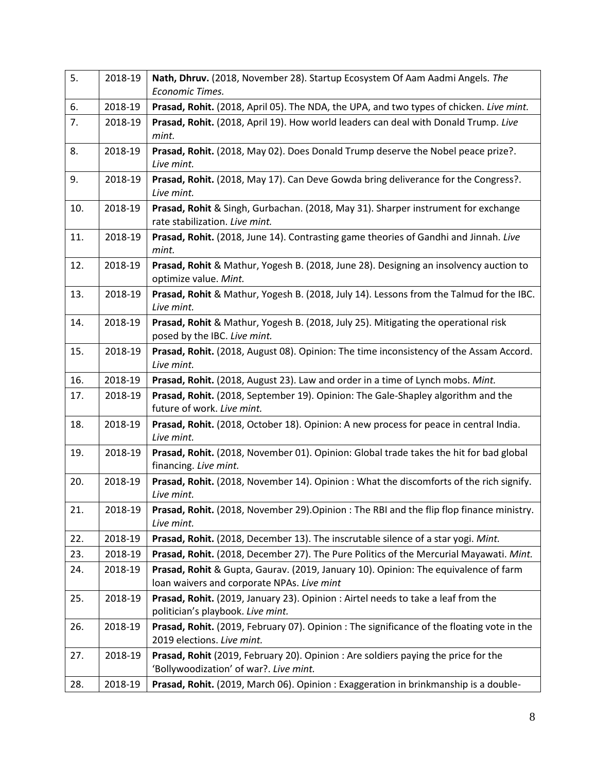| 5.  | 2018-19 | Nath, Dhruv. (2018, November 28). Startup Ecosystem Of Aam Aadmi Angels. The<br>Economic Times.                                   |
|-----|---------|-----------------------------------------------------------------------------------------------------------------------------------|
| 6.  | 2018-19 | Prasad, Rohit. (2018, April 05). The NDA, the UPA, and two types of chicken. Live mint.                                           |
| 7.  | 2018-19 | Prasad, Rohit. (2018, April 19). How world leaders can deal with Donald Trump. Live<br>mint.                                      |
| 8.  | 2018-19 | Prasad, Rohit. (2018, May 02). Does Donald Trump deserve the Nobel peace prize?.<br>Live mint.                                    |
| 9.  | 2018-19 | Prasad, Rohit. (2018, May 17). Can Deve Gowda bring deliverance for the Congress?.<br>Live mint.                                  |
| 10. | 2018-19 | Prasad, Rohit & Singh, Gurbachan. (2018, May 31). Sharper instrument for exchange<br>rate stabilization. Live mint.               |
| 11. | 2018-19 | Prasad, Rohit. (2018, June 14). Contrasting game theories of Gandhi and Jinnah. Live<br>mint.                                     |
| 12. | 2018-19 | Prasad, Rohit & Mathur, Yogesh B. (2018, June 28). Designing an insolvency auction to<br>optimize value. Mint.                    |
| 13. | 2018-19 | Prasad, Rohit & Mathur, Yogesh B. (2018, July 14). Lessons from the Talmud for the IBC.<br>Live mint.                             |
| 14. | 2018-19 | Prasad, Rohit & Mathur, Yogesh B. (2018, July 25). Mitigating the operational risk<br>posed by the IBC. Live mint.                |
| 15. | 2018-19 | Prasad, Rohit. (2018, August 08). Opinion: The time inconsistency of the Assam Accord.<br>Live mint.                              |
| 16. | 2018-19 | Prasad, Rohit. (2018, August 23). Law and order in a time of Lynch mobs. Mint.                                                    |
| 17. | 2018-19 | Prasad, Rohit. (2018, September 19). Opinion: The Gale-Shapley algorithm and the<br>future of work. Live mint.                    |
| 18. | 2018-19 | Prasad, Rohit. (2018, October 18). Opinion: A new process for peace in central India.<br>Live mint.                               |
| 19. | 2018-19 | Prasad, Rohit. (2018, November 01). Opinion: Global trade takes the hit for bad global<br>financing. Live mint.                   |
| 20. | 2018-19 | Prasad, Rohit. (2018, November 14). Opinion : What the discomforts of the rich signify.<br>Live mint.                             |
| 21. | 2018-19 | Prasad, Rohit. (2018, November 29). Opinion : The RBI and the flip flop finance ministry.<br>Live mint.                           |
| 22. | 2018-19 | Prasad, Rohit. (2018, December 13). The inscrutable silence of a star yogi. Mint.                                                 |
| 23. | 2018-19 | Prasad, Rohit. (2018, December 27). The Pure Politics of the Mercurial Mayawati. Mint.                                            |
| 24. | 2018-19 | Prasad, Rohit & Gupta, Gaurav. (2019, January 10). Opinion: The equivalence of farm<br>loan waivers and corporate NPAs. Live mint |
| 25. | 2018-19 | Prasad, Rohit. (2019, January 23). Opinion: Airtel needs to take a leaf from the<br>politician's playbook. Live mint.             |
| 26. | 2018-19 | Prasad, Rohit. (2019, February 07). Opinion : The significance of the floating vote in the<br>2019 elections. Live mint.          |
| 27. | 2018-19 | Prasad, Rohit (2019, February 20). Opinion : Are soldiers paying the price for the<br>'Bollywoodization' of war?. Live mint.      |
| 28. | 2018-19 | Prasad, Rohit. (2019, March 06). Opinion : Exaggeration in brinkmanship is a double-                                              |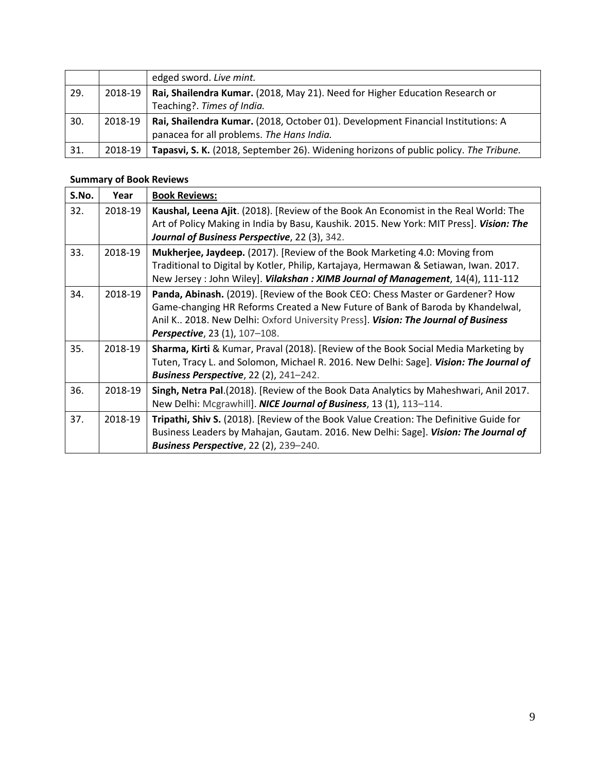|     |         | edged sword. Live mint.                                                               |  |
|-----|---------|---------------------------------------------------------------------------------------|--|
| 29. | 2018-19 | Rai, Shailendra Kumar. (2018, May 21). Need for Higher Education Research or          |  |
|     |         | Teaching?. Times of India.                                                            |  |
| 30. | 2018-19 | Rai, Shailendra Kumar. (2018, October 01). Development Financial Institutions: A      |  |
|     |         | panacea for all problems. The Hans India.                                             |  |
| 31. | 2018-19 | Tapasvi, S. K. (2018, September 26). Widening horizons of public policy. The Tribune. |  |

## **Summary of Book Reviews**

| S.No. | Year    | <b>Book Reviews:</b>                                                                                                                                                                                                                                                                          |  |  |  |
|-------|---------|-----------------------------------------------------------------------------------------------------------------------------------------------------------------------------------------------------------------------------------------------------------------------------------------------|--|--|--|
| 32.   | 2018-19 | Kaushal, Leena Ajit. (2018). [Review of the Book An Economist in the Real World: The<br>Art of Policy Making in India by Basu, Kaushik. 2015. New York: MIT Press]. Vision: The<br>Journal of Business Perspective, 22 (3), 342.                                                              |  |  |  |
| 33.   | 2018-19 | <b>Mukherjee, Jaydeep.</b> (2017). [Review of the Book Marketing 4.0: Moving from<br>Traditional to Digital by Kotler, Philip, Kartajaya, Hermawan & Setiawan, Iwan. 2017.<br>New Jersey : John Wiley]. Vilakshan: XIMB Journal of Management, 14(4), 111-112                                 |  |  |  |
| 34.   | 2018-19 | Panda, Abinash. (2019). [Review of the Book CEO: Chess Master or Gardener? How<br>Game-changing HR Reforms Created a New Future of Bank of Baroda by Khandelwal,<br>Anil K 2018. New Delhi: Oxford University Press]. Vision: The Journal of Business<br><b>Perspective, 23 (1), 107-108.</b> |  |  |  |
| 35.   | 2018-19 | Sharma, Kirti & Kumar, Praval (2018). [Review of the Book Social Media Marketing by<br>Tuten, Tracy L. and Solomon, Michael R. 2016. New Delhi: Sage]. Vision: The Journal of<br><b>Business Perspective, 22 (2), 241-242.</b>                                                                |  |  |  |
| 36.   | 2018-19 | Singh, Netra Pal. (2018). [Review of the Book Data Analytics by Maheshwari, Anil 2017.<br>New Delhi: Mcgrawhill]. NICE Journal of Business, 13 (1), 113-114.                                                                                                                                  |  |  |  |
| 37.   | 2018-19 | Tripathi, Shiv S. (2018). [Review of the Book Value Creation: The Definitive Guide for<br>Business Leaders by Mahajan, Gautam. 2016. New Delhi: Sage]. Vision: The Journal of<br><b>Business Perspective, 22 (2), 239-240.</b>                                                                |  |  |  |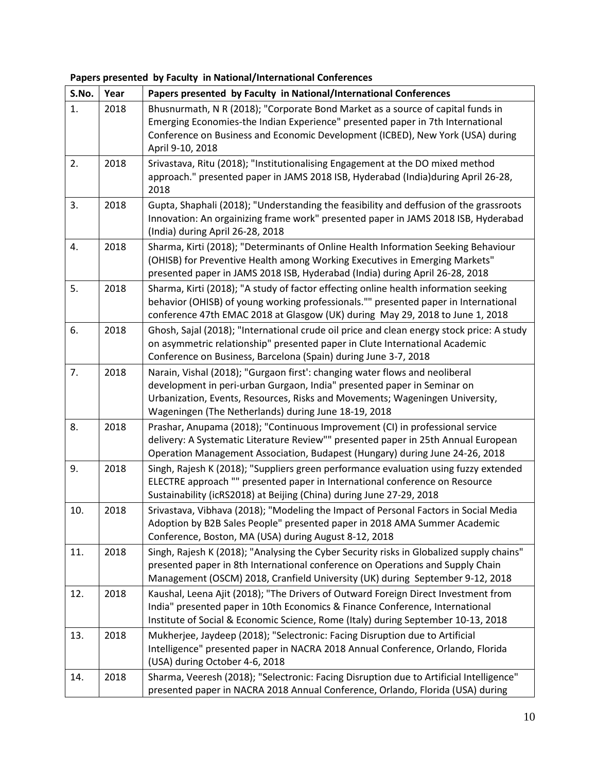| S.No. | Year | Papers presented by Faculty in National/International Conferences                                                                                                                                                                                                                              |  |  |  |
|-------|------|------------------------------------------------------------------------------------------------------------------------------------------------------------------------------------------------------------------------------------------------------------------------------------------------|--|--|--|
| 1.    | 2018 | Bhusnurmath, N R (2018); "Corporate Bond Market as a source of capital funds in<br>Emerging Economies-the Indian Experience" presented paper in 7th International<br>Conference on Business and Economic Development (ICBED), New York (USA) during<br>April 9-10, 2018                        |  |  |  |
| 2.    | 2018 | Srivastava, Ritu (2018); "Institutionalising Engagement at the DO mixed method<br>approach." presented paper in JAMS 2018 ISB, Hyderabad (India)during April 26-28,<br>2018                                                                                                                    |  |  |  |
| 3.    | 2018 | Gupta, Shaphali (2018); "Understanding the feasibility and deffusion of the grassroots<br>Innovation: An orgainizing frame work" presented paper in JAMS 2018 ISB, Hyderabad<br>(India) during April 26-28, 2018                                                                               |  |  |  |
| 4.    | 2018 | Sharma, Kirti (2018); "Determinants of Online Health Information Seeking Behaviour<br>(OHISB) for Preventive Health among Working Executives in Emerging Markets"<br>presented paper in JAMS 2018 ISB, Hyderabad (India) during April 26-28, 2018                                              |  |  |  |
| 5.    | 2018 | Sharma, Kirti (2018); "A study of factor effecting online health information seeking<br>behavior (OHISB) of young working professionals."" presented paper in International<br>conference 47th EMAC 2018 at Glasgow (UK) during May 29, 2018 to June 1, 2018                                   |  |  |  |
| 6.    | 2018 | Ghosh, Sajal (2018); "International crude oil price and clean energy stock price: A study<br>on asymmetric relationship" presented paper in Clute International Academic<br>Conference on Business, Barcelona (Spain) during June 3-7, 2018                                                    |  |  |  |
| 7.    | 2018 | Narain, Vishal (2018); "Gurgaon first': changing water flows and neoliberal<br>development in peri-urban Gurgaon, India" presented paper in Seminar on<br>Urbanization, Events, Resources, Risks and Movements; Wageningen University,<br>Wageningen (The Netherlands) during June 18-19, 2018 |  |  |  |
| 8.    | 2018 | Prashar, Anupama (2018); "Continuous Improvement (CI) in professional service<br>delivery: A Systematic Literature Review"" presented paper in 25th Annual European<br>Operation Management Association, Budapest (Hungary) during June 24-26, 2018                                            |  |  |  |
| 9.    | 2018 | Singh, Rajesh K (2018); "Suppliers green performance evaluation using fuzzy extended<br>ELECTRE approach "" presented paper in International conference on Resource<br>Sustainability (icRS2018) at Beijing (China) during June 27-29, 2018                                                    |  |  |  |
| 10.   | 2018 | Srivastava, Vibhava (2018); "Modeling the Impact of Personal Factors in Social Media<br>Adoption by B2B Sales People" presented paper in 2018 AMA Summer Academic<br>Conference, Boston, MA (USA) during August 8-12, 2018                                                                     |  |  |  |
| 11.   | 2018 | Singh, Rajesh K (2018); "Analysing the Cyber Security risks in Globalized supply chains"<br>presented paper in 8th International conference on Operations and Supply Chain<br>Management (OSCM) 2018, Cranfield University (UK) during September 9-12, 2018                                    |  |  |  |
| 12.   | 2018 | Kaushal, Leena Ajit (2018); "The Drivers of Outward Foreign Direct Investment from<br>India" presented paper in 10th Economics & Finance Conference, International<br>Institute of Social & Economic Science, Rome (Italy) during September 10-13, 2018                                        |  |  |  |
| 13.   | 2018 | Mukherjee, Jaydeep (2018); "Selectronic: Facing Disruption due to Artificial<br>Intelligence" presented paper in NACRA 2018 Annual Conference, Orlando, Florida<br>(USA) during October 4-6, 2018                                                                                              |  |  |  |
| 14.   | 2018 | Sharma, Veeresh (2018); "Selectronic: Facing Disruption due to Artificial Intelligence"<br>presented paper in NACRA 2018 Annual Conference, Orlando, Florida (USA) during                                                                                                                      |  |  |  |

**Papers presented by Faculty in National/International Conferences**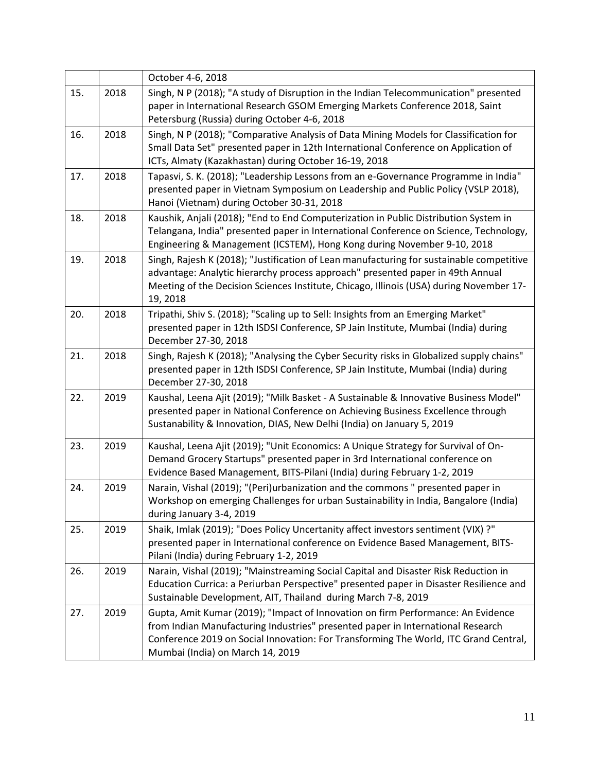|     |      | October 4-6, 2018                                                                                                                                                                                                                                                                               |  |  |  |
|-----|------|-------------------------------------------------------------------------------------------------------------------------------------------------------------------------------------------------------------------------------------------------------------------------------------------------|--|--|--|
| 15. | 2018 | Singh, N P (2018); "A study of Disruption in the Indian Telecommunication" presented<br>paper in International Research GSOM Emerging Markets Conference 2018, Saint<br>Petersburg (Russia) during October 4-6, 2018                                                                            |  |  |  |
| 16. | 2018 | Singh, N P (2018); "Comparative Analysis of Data Mining Models for Classification for<br>Small Data Set" presented paper in 12th International Conference on Application of<br>ICTs, Almaty (Kazakhastan) during October 16-19, 2018                                                            |  |  |  |
| 17. | 2018 | Tapasvi, S. K. (2018); "Leadership Lessons from an e-Governance Programme in India"<br>presented paper in Vietnam Symposium on Leadership and Public Policy (VSLP 2018),<br>Hanoi (Vietnam) during October 30-31, 2018                                                                          |  |  |  |
| 18. | 2018 | Kaushik, Anjali (2018); "End to End Computerization in Public Distribution System in<br>Telangana, India" presented paper in International Conference on Science, Technology,<br>Engineering & Management (ICSTEM), Hong Kong during November 9-10, 2018                                        |  |  |  |
| 19. | 2018 | Singh, Rajesh K (2018); "Justification of Lean manufacturing for sustainable competitive<br>advantage: Analytic hierarchy process approach" presented paper in 49th Annual<br>Meeting of the Decision Sciences Institute, Chicago, Illinois (USA) during November 17-<br>19, 2018               |  |  |  |
| 20. | 2018 | Tripathi, Shiv S. (2018); "Scaling up to Sell: Insights from an Emerging Market"<br>presented paper in 12th ISDSI Conference, SP Jain Institute, Mumbai (India) during<br>December 27-30, 2018                                                                                                  |  |  |  |
| 21. | 2018 | Singh, Rajesh K (2018); "Analysing the Cyber Security risks in Globalized supply chains"<br>presented paper in 12th ISDSI Conference, SP Jain Institute, Mumbai (India) during<br>December 27-30, 2018                                                                                          |  |  |  |
| 22. | 2019 | Kaushal, Leena Ajit (2019); "Milk Basket - A Sustainable & Innovative Business Model"<br>presented paper in National Conference on Achieving Business Excellence through<br>Sustanability & Innovation, DIAS, New Delhi (India) on January 5, 2019                                              |  |  |  |
| 23. | 2019 | Kaushal, Leena Ajit (2019); "Unit Economics: A Unique Strategy for Survival of On-<br>Demand Grocery Startups" presented paper in 3rd International conference on<br>Evidence Based Management, BITS-Pilani (India) during February 1-2, 2019                                                   |  |  |  |
| 24. | 2019 | Narain, Vishal (2019); "(Peri)urbanization and the commons " presented paper in<br>Workshop on emerging Challenges for urban Sustainability in India, Bangalore (India)<br>during January 3-4, 2019                                                                                             |  |  |  |
| 25. | 2019 | Shaik, Imlak (2019); "Does Policy Uncertanity affect investors sentiment (VIX) ?"<br>presented paper in International conference on Evidence Based Management, BITS-<br>Pilani (India) during February 1-2, 2019                                                                                |  |  |  |
| 26. | 2019 | Narain, Vishal (2019); "Mainstreaming Social Capital and Disaster Risk Reduction in<br>Education Currica: a Periurban Perspective" presented paper in Disaster Resilience and<br>Sustainable Development, AIT, Thailand during March 7-8, 2019                                                  |  |  |  |
| 27. | 2019 | Gupta, Amit Kumar (2019); "Impact of Innovation on firm Performance: An Evidence<br>from Indian Manufacturing Industries" presented paper in International Research<br>Conference 2019 on Social Innovation: For Transforming The World, ITC Grand Central,<br>Mumbai (India) on March 14, 2019 |  |  |  |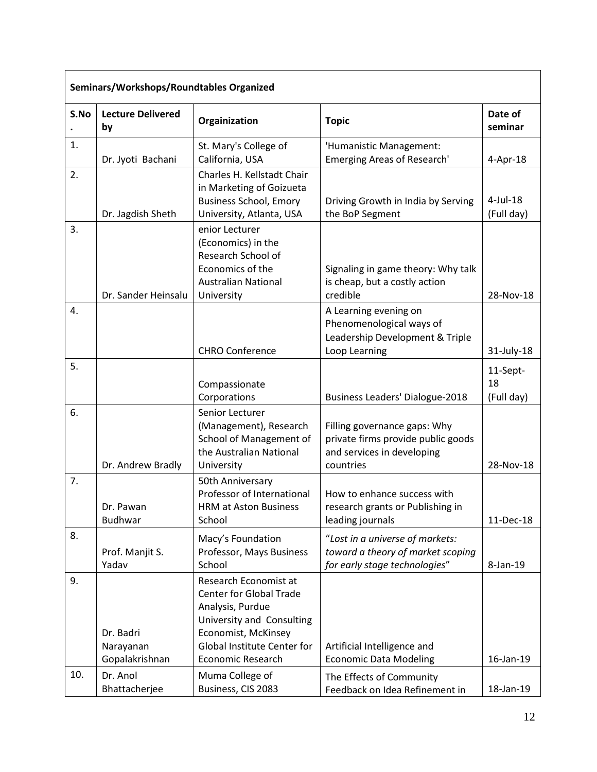| Seminars/Workshops/Roundtables Organized |                                                      |                                                                                                                                                                                                               |                                                                                                               |                              |
|------------------------------------------|------------------------------------------------------|---------------------------------------------------------------------------------------------------------------------------------------------------------------------------------------------------------------|---------------------------------------------------------------------------------------------------------------|------------------------------|
| S.No                                     | <b>Lecture Delivered</b><br>by                       | Orgainization                                                                                                                                                                                                 | <b>Topic</b>                                                                                                  | Date of<br>seminar           |
| 1.                                       | Dr. Jyoti Bachani                                    | St. Mary's College of<br>California, USA                                                                                                                                                                      | 'Humanistic Management:<br><b>Emerging Areas of Research'</b>                                                 | $4-Apr-18$                   |
| 2.                                       | Dr. Jagdish Sheth                                    | Charles H. Kellstadt Chair<br>in Marketing of Goizueta<br><b>Business School, Emory</b><br>University, Atlanta, USA                                                                                           | Driving Growth in India by Serving<br>the BoP Segment                                                         | $4$ -Jul-18<br>(Full day)    |
| 3.                                       | Dr. Sander Heinsalu                                  | enior Lecturer<br>(Economics) in the<br>Research School of<br>Economics of the<br><b>Australian National</b><br>University                                                                                    | Signaling in game theory: Why talk<br>is cheap, but a costly action<br>credible                               | 28-Nov-18                    |
| 4.                                       |                                                      | <b>CHRO Conference</b>                                                                                                                                                                                        | A Learning evening on<br>Phenomenological ways of<br>Leadership Development & Triple<br>Loop Learning         | 31-July-18                   |
| 5.                                       |                                                      | Compassionate<br>Corporations                                                                                                                                                                                 | <b>Business Leaders' Dialogue-2018</b>                                                                        | 11-Sept-<br>18<br>(Full day) |
| 6.                                       | Dr. Andrew Bradly                                    | Senior Lecturer<br>(Management), Research<br>School of Management of<br>the Australian National<br>University                                                                                                 | Filling governance gaps: Why<br>private firms provide public goods<br>and services in developing<br>countries | 28-Nov-18                    |
| 7.                                       | Dr. Pawan<br><b>Budhwar</b>                          | 50th Anniversary<br>Professor of International<br><b>HRM at Aston Business</b><br>School                                                                                                                      | How to enhance success with<br>research grants or Publishing in<br>leading journals                           | 11-Dec-18                    |
| 8.                                       | Prof. Manjit S.<br>Yadav                             | Macy's Foundation<br>Professor, Mays Business<br>School                                                                                                                                                       | "Lost in a universe of markets:<br>toward a theory of market scoping<br>for early stage technologies"         | 8-Jan-19                     |
| 9.<br>10.                                | Dr. Badri<br>Narayanan<br>Gopalakrishnan<br>Dr. Anol | Research Economist at<br><b>Center for Global Trade</b><br>Analysis, Purdue<br>University and Consulting<br>Economist, McKinsey<br>Global Institute Center for<br><b>Economic Research</b><br>Muma College of | Artificial Intelligence and<br><b>Economic Data Modeling</b><br>The Effects of Community                      | 16-Jan-19                    |
|                                          | Bhattacherjee                                        | Business, CIS 2083                                                                                                                                                                                            | Feedback on Idea Refinement in                                                                                | 18-Jan-19                    |